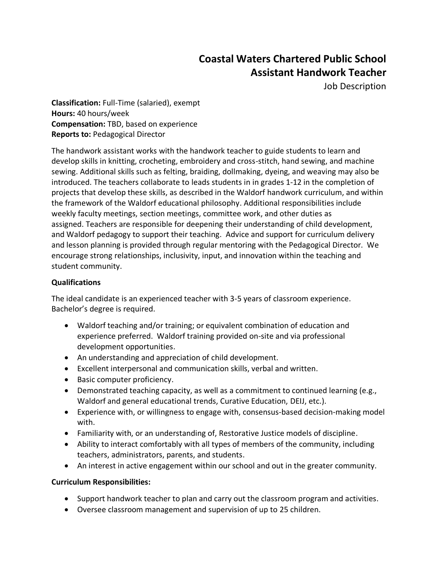# **Coastal Waters Chartered Public School Assistant Handwork Teacher**

Job Description

**Classification:** Full-Time (salaried), exempt **Hours:** 40 hours/week **Compensation:** TBD, based on experience **Reports to:** Pedagogical Director

The handwork assistant works with the handwork teacher to guide students to learn and develop skills in knitting, crocheting, embroidery and cross-stitch, hand sewing, and machine sewing. Additional skills such as felting, braiding, dollmaking, dyeing, and weaving may also be introduced. The teachers collaborate to leads students in in grades 1-12 in the completion of projects that develop these skills, as described in the Waldorf handwork curriculum, and within the framework of the Waldorf educational philosophy. Additional responsibilities include weekly faculty meetings, section meetings, committee work, and other duties as assigned. Teachers are responsible for deepening their understanding of child development, and Waldorf pedagogy to support their teaching. Advice and support for curriculum delivery and lesson planning is provided through regular mentoring with the Pedagogical Director. We encourage strong relationships, inclusivity, input, and innovation within the teaching and student community.

## **Qualifications**

The ideal candidate is an experienced teacher with 3-5 years of classroom experience. Bachelor's degree is required.

- Waldorf teaching and/or training; or equivalent combination of education and experience preferred. Waldorf training provided on-site and via professional development opportunities.
- An understanding and appreciation of child development.
- Excellent interpersonal and communication skills, verbal and written.
- Basic computer proficiency.
- Demonstrated teaching capacity, as well as a commitment to continued learning (e.g., Waldorf and general educational trends, Curative Education, DEIJ, etc.).
- Experience with, or willingness to engage with, consensus-based decision-making model with.
- Familiarity with, or an understanding of, Restorative Justice models of discipline.
- Ability to interact comfortably with all types of members of the community, including teachers, administrators, parents, and students.
- An interest in active engagement within our school and out in the greater community.

### **Curriculum Responsibilities:**

- Support handwork teacher to plan and carry out the classroom program and activities.
- Oversee classroom management and supervision of up to 25 children.